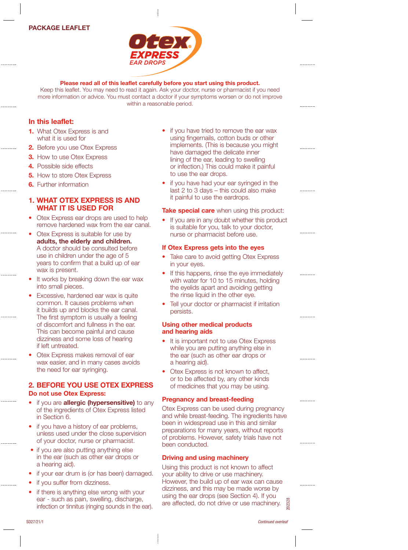## PACKAGE LEAFLET



# Please read all of this leaflet carefully before you start using this product.

Keep this leaflet. You may need to read it again. Ask your doctor, nurse or pharmacist if you need more information or advice. You must contact a doctor if your symptoms worsen or do not improve within a reasonable period.

## In this leaflet:

- 1. What Otex Express is and what it is used for
- 2. Before you use Otex Express
- **3.** How to use Otex Express
- 4. Possible side effects
- **5.** How to store Otex Express
- **6.** Further information

## 1. WHAT OTEX EXPRESS IS AND WHAT IT IS USED FOR

- Otex Express ear drops are used to help remove hardened wax from the ear canal.
- Otex Express is suitable for use by adults, the elderly and children. A doctor should be consulted before use in children under the age of 5 years to confirm that a build up of ear wax is present.
- It works by breaking down the ear wax into small pieces.
- Excessive, hardened ear wax is quite common. It causes problems when it builds up and blocks the ear canal. The first symptom is usually a feeling of discomfort and fullness in the ear. This can become painful and cause dizziness and some loss of hearing if left untreated.
- Otex Express makes removal of ear wax easier, and in many cases avoids the need for ear syringing.

# 2. BEFORE YOU USE OTEX EXPRESS Do not use Otex Express:

- if you are **allergic (hypersensitive)** to any of the ingredients of Otex Express listed in Section 6.
- if you have a history of ear problems, unless used under the close supervision of your doctor, nurse or pharmacist.
- if you are also putting anything else in the ear (such as other ear drops or a hearing aid).
- if your ear drum is (or has been) damaged.
- if you suffer from dizziness.
- if there is anything else wrong with your ear - such as pain, swelling, discharge, infection or tinnitus (ringing sounds in the ear).
- if you have tried to remove the ear wax using fingernails, cotton buds or other implements. (This is because you might have damaged the delicate inner lining of the ear, leading to swelling or infection.) This could make it painful to use the ear drops.
- if you have had your ear syringed in the last 2 to 3 days – this could also make it painful to use the eardrops.

Take special care when using this product:

If you are in any doubt whether this product is suitable for you, talk to your doctor, nurse or pharmacist before use.

### If Otex Express gets into the eyes

- Take care to avoid getting Otex Express in your eyes.
- If this happens, rinse the eye immediately with water for 10 to 15 minutes, holding the eyelids apart and avoiding getting the rinse liquid in the other eye.
- Tell your doctor or pharmacist if irritation persists.

## Using other medical products and hearing aids

- It is important not to use Otex Express while you are putting anything else in the ear (such as other ear drops or a hearing aid).
- Otex Express is not known to affect, or to be affected by, any other kinds of medicines that you may be using.

## Pregnancy and breast-feeding

Otex Express can be used during pregnancy and while breast-feeding. The ingredients have been in widespread use in this and similar preparations for many years, without reports of problems. However, safety trials have not been conducted.

#### Driving and using machinery

Using this product is not known to affect your ability to drive or use machinery. However, the build up of ear wax can cause dizziness, and this may be made worse by using the ear drops (see Section 4). If you are affected, do not drive or use machinery.

SD27/21/1 *Continued overleaf*

202328